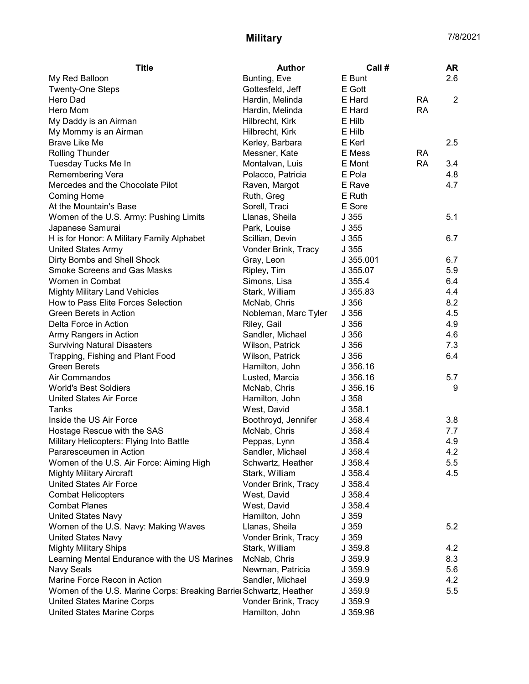## Military 7/8/2021

| <b>Title</b>                                                       | <b>Author</b>        | Call #    |           | AR             |
|--------------------------------------------------------------------|----------------------|-----------|-----------|----------------|
| My Red Balloon                                                     | Bunting, Eve         | E Bunt    |           | 2.6            |
| <b>Twenty-One Steps</b>                                            | Gottesfeld, Jeff     | E Gott    |           |                |
| Hero Dad                                                           | Hardin, Melinda      | E Hard    | <b>RA</b> | $\overline{2}$ |
| Hero Mom                                                           | Hardin, Melinda      | E Hard    | <b>RA</b> |                |
| My Daddy is an Airman                                              | Hilbrecht, Kirk      | E Hilb    |           |                |
| My Mommy is an Airman                                              | Hilbrecht, Kirk      | E Hilb    |           |                |
| <b>Brave Like Me</b>                                               | Kerley, Barbara      | E Kerl    |           | 2.5            |
| <b>Rolling Thunder</b>                                             | Messner, Kate        | E Mess    | RA        |                |
| Tuesday Tucks Me In                                                | Montalvan, Luis      | E Mont    | <b>RA</b> | 3.4            |
| Remembering Vera                                                   | Polacco, Patricia    | E Pola    |           | 4.8            |
| Mercedes and the Chocolate Pilot                                   | Raven, Margot        | E Rave    |           | 4.7            |
| <b>Coming Home</b>                                                 | Ruth, Greg           | E Ruth    |           |                |
| At the Mountain's Base                                             | Sorell, Traci        | E Sore    |           |                |
| Women of the U.S. Army: Pushing Limits                             | Llanas, Sheila       | J355      |           | 5.1            |
| Japanese Samurai                                                   | Park, Louise         | J355      |           |                |
| H is for Honor: A Military Family Alphabet                         | Scillian, Devin      | J355      |           | 6.7            |
| <b>United States Army</b>                                          | Vonder Brink, Tracy  | J355      |           |                |
| Dirty Bombs and Shell Shock                                        | Gray, Leon           | J 355.001 |           | 6.7            |
| <b>Smoke Screens and Gas Masks</b>                                 | Ripley, Tim          | J 355.07  |           | 5.9            |
| Women in Combat                                                    | Simons, Lisa         | J355.4    |           | 6.4            |
| <b>Mighty Military Land Vehicles</b>                               | Stark, William       | J 355.83  |           | 4.4            |
| How to Pass Elite Forces Selection                                 | McNab, Chris         | J356      |           | 8.2            |
| Green Berets in Action                                             | Nobleman, Marc Tyler | J356      |           | 4.5            |
| Delta Force in Action                                              | Riley, Gail          | J356      |           | 4.9            |
| Army Rangers in Action                                             | Sandler, Michael     | J 356     |           | 4.6            |
| <b>Surviving Natural Disasters</b>                                 | Wilson, Patrick      | J356      |           | 7.3            |
| Trapping, Fishing and Plant Food                                   | Wilson, Patrick      | J 356     |           | 6.4            |
| <b>Green Berets</b>                                                | Hamilton, John       | J 356.16  |           |                |
| Air Commandos                                                      | Lusted, Marcia       | J 356.16  |           | 5.7            |
| <b>World's Best Soldiers</b>                                       | McNab, Chris         | J 356.16  |           | 9              |
| <b>United States Air Force</b>                                     | Hamilton, John       | J358      |           |                |
| Tanks                                                              | West, David          | J358.1    |           |                |
| Inside the US Air Force                                            | Boothroyd, Jennifer  | J358.4    |           | 3.8            |
| Hostage Rescue with the SAS                                        | McNab, Chris         | J.358.4   |           | 7.7            |
| Military Helicopters: Flying Into Battle                           | Peppas, Lynn         | J.358.4   |           | 4.9            |
| Pararesceumen in Action                                            | Sandler, Michael     | J 358.4   |           | 4.2            |
| Women of the U.S. Air Force: Aiming High                           | Schwartz, Heather    | J358.4    |           | 5.5            |
| <b>Mighty Military Aircraft</b>                                    | Stark, William       | J 358.4   |           | 4.5            |
| <b>United States Air Force</b>                                     | Vonder Brink, Tracy  | J358.4    |           |                |
| <b>Combat Helicopters</b>                                          | West, David          | J.358.4   |           |                |
| <b>Combat Planes</b>                                               | West, David          | J358.4    |           |                |
| <b>United States Navy</b>                                          | Hamilton, John       | J 359     |           |                |
| Women of the U.S. Navy: Making Waves                               | Llanas, Sheila       | J 359     |           | 5.2            |
| <b>United States Navy</b>                                          | Vonder Brink, Tracy  | J 359     |           |                |
| <b>Mighty Military Ships</b>                                       | Stark, William       | J 359.8   |           | 4.2            |
| Learning Mental Endurance with the US Marines                      | McNab, Chris         | J 359.9   |           | 8.3            |
| Navy Seals                                                         | Newman, Patricia     | J 359.9   |           | 5.6            |
| Marine Force Recon in Action                                       | Sandler, Michael     | J 359.9   |           | 4.2            |
| Women of the U.S. Marine Corps: Breaking Barriel Schwartz, Heather |                      | J 359.9   |           | 5.5            |
| <b>United States Marine Corps</b>                                  | Vonder Brink, Tracy  | J 359.9   |           |                |
| <b>United States Marine Corps</b>                                  | Hamilton, John       | J 359.96  |           |                |